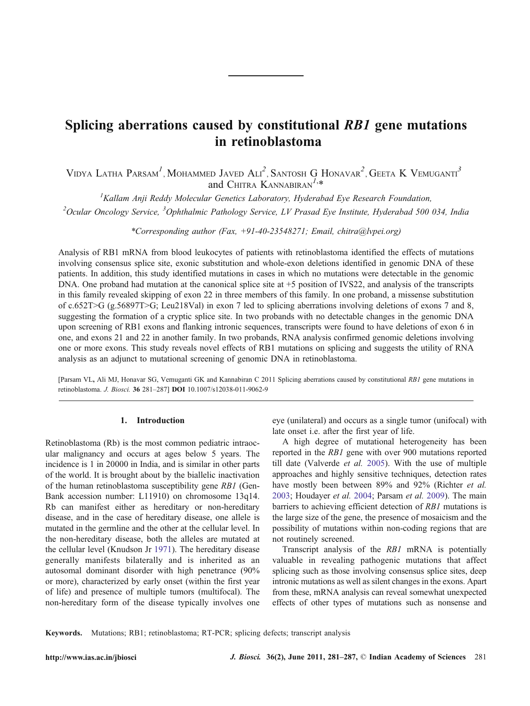# Splicing aberrations caused by constitutional RB1 gene mutations in retinoblastoma

VIDYA LATHA PARSAM<sup>1</sup>, MOHAMMED JAVED  $A\text{Li}^2$ , Santosh G Honavar<sup>2</sup>, Geeta K Vemuganti<sup>3</sup> and CHITRA KANNABIRAN $^{1,*}$ 

 ${}^{1}$ Kallam Anji Reddy Molecular Genetics Laboratory, Hyderabad Eye Research Foundation, <sup>2</sup>Ocular Oncology Service, <sup>3</sup>Ophthalmic Pathology Service, LV Prasad Eye Institute, Hyderabad 500 034, India

\*Corresponding author (Fax,  $+91-40-23548271$ ; Email, chitra@lvpei.org)

Analysis of RB1 mRNA from blood leukocytes of patients with retinoblastoma identified the effects of mutations involving consensus splice site, exonic substitution and whole-exon deletions identified in genomic DNA of these patients. In addition, this study identified mutations in cases in which no mutations were detectable in the genomic DNA. One proband had mutation at the canonical splice site at +5 position of IVS22, and analysis of the transcripts in this family revealed skipping of exon 22 in three members of this family. In one proband, a missense substitution of c.652T>G (g.56897T>G; Leu218Val) in exon 7 led to splicing aberrations involving deletions of exons 7 and 8, suggesting the formation of a cryptic splice site. In two probands with no detectable changes in the genomic DNA upon screening of RB1 exons and flanking intronic sequences, transcripts were found to have deletions of exon 6 in one, and exons 21 and 22 in another family. In two probands, RNA analysis confirmed genomic deletions involving one or more exons. This study reveals novel effects of RB1 mutations on splicing and suggests the utility of RNA analysis as an adjunct to mutational screening of genomic DNA in retinoblastoma.

[Parsam VL, Ali MJ, Honavar SG, Vemuganti GK and Kannabiran C 2011 Splicing aberrations caused by constitutional RB1 gene mutations in retinoblastoma. J. Biosci. 36 281–287] DOI 10.1007/s12038-011-9062-9

## 1. Introduction

Retinoblastoma (Rb) is the most common pediatric intraocular malignancy and occurs at ages below 5 years. The incidence is 1 in 20000 in India, and is similar in other parts of the world. It is brought about by the biallelic inactivation of the human retinoblastoma susceptibility gene RB1 (Gen-Bank accession number: L11910) on chromosome 13q14. Rb can manifest either as hereditary or non-hereditary disease, and in the case of hereditary disease, one allele is mutated in the germline and the other at the cellular level. In the non-hereditary disease, both the alleles are mutated at the cellular level (Knudson Jr [1971](#page-6-0)). The hereditary disease generally manifests bilaterally and is inherited as an autosomal dominant disorder with high penetrance (90% or more), characterized by early onset (within the first year of life) and presence of multiple tumors (multifocal). The non-hereditary form of the disease typically involves one

eye (unilateral) and occurs as a single tumor (unifocal) with late onset i.e. after the first year of life.

A high degree of mutational heterogeneity has been reported in the RB1 gene with over 900 mutations reported till date (Valverde et al. [2005\)](#page-6-0). With the use of multiple approaches and highly sensitive techniques, detection rates have mostly been between 89% and 92% (Richter et al. [2003](#page-6-0); Houdayer et al. [2004](#page-6-0); Parsam et al. [2009\)](#page-6-0). The main barriers to achieving efficient detection of RB1 mutations is the large size of the gene, the presence of mosaicism and the possibility of mutations within non-coding regions that are not routinely screened.

Transcript analysis of the RB1 mRNA is potentially valuable in revealing pathogenic mutations that affect splicing such as those involving consensus splice sites, deep intronic mutations as well as silent changes in the exons. Apart from these, mRNA analysis can reveal somewhat unexpected effects of other types of mutations such as nonsense and

Keywords. Mutations; RB1; retinoblastoma; RT-PCR; splicing defects; transcript analysis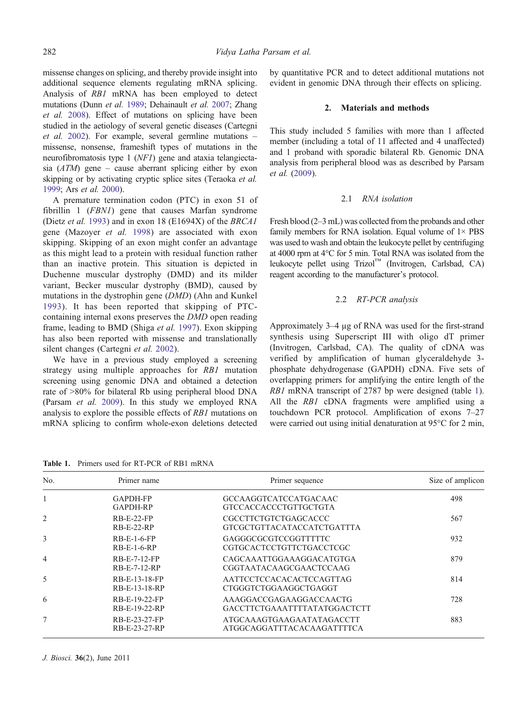missense changes on splicing, and thereby provide insight into additional sequence elements regulating mRNA splicing. Analysis of RB1 mRNA has been employed to detect mutations (Dunn et al. [1989](#page-6-0); Dehainault et al. [2007;](#page-6-0) Zhang et al. [2008](#page-6-0)). Effect of mutations on splicing have been studied in the aetiology of several genetic diseases (Cartegni et al. [2002\)](#page-6-0). For example, several germline mutations – missense, nonsense, frameshift types of mutations in the neurofibromatosis type 1 (NF1) gene and ataxia telangiectasia  $(ATM)$  gene – cause aberrant splicing either by exon skipping or by activating cryptic splice sites (Teraoka et al. [1999;](#page-6-0) Ars et al. [2000](#page-6-0)).

A premature termination codon (PTC) in exon 51 of fibrillin 1 (FBN1) gene that causes Marfan syndrome (Dietz et al. [1993\)](#page-6-0) and in exon 18 (E1694X) of the BRCA1 gene (Mazoyer et al. [1998\)](#page-6-0) are associated with exon skipping. Skipping of an exon might confer an advantage as this might lead to a protein with residual function rather than an inactive protein. This situation is depicted in Duchenne muscular dystrophy (DMD) and its milder variant, Becker muscular dystrophy (BMD), caused by mutations in the dystrophin gene (DMD) (Ahn and Kunkel [1993\)](#page-6-0). It has been reported that skipping of PTCcontaining internal exons preserves the DMD open reading frame, leading to BMD (Shiga et al. [1997\)](#page-6-0). Exon skipping has also been reported with missense and translationally silent changes (Cartegni et al. [2002\)](#page-6-0).

We have in a previous study employed a screening strategy using multiple approaches for RB1 mutation screening using genomic DNA and obtained a detection rate of >80% for bilateral Rb using peripheral blood DNA (Parsam et al. [2009](#page-6-0)). In this study we employed RNA analysis to explore the possible effects of RB1 mutations on mRNA splicing to confirm whole-exon deletions detected by quantitative PCR and to detect additional mutations not evident in genomic DNA through their effects on splicing.

# 2. Materials and methods

This study included 5 families with more than 1 affected member (including a total of 11 affected and 4 unaffected) and 1 proband with sporadic bilateral Rb. Genomic DNA analysis from peripheral blood was as described by Parsam et al. [\(2009](#page-6-0)).

# 2.1 RNA isolation

Fresh blood (2–3 mL) was collected from the probands and other family members for RNA isolation. Equal volume of  $1 \times PBS$ was used to wash and obtain the leukocyte pellet by centrifuging at 4000 rpm at 4°C for 5 min. Total RNA was isolated from the leukocyte pellet using Trizol™ (Invitrogen, Carlsbad, CA) reagent according to the manufacturer's protocol.

## 2.2 RT-PCR analysis

Approximately 3–4 μg of RNA was used for the first-strand synthesis using Superscript III with oligo dT primer (Invitrogen, Carlsbad, CA). The quality of cDNA was verified by amplification of human glyceraldehyde 3 phosphate dehydrogenase (GAPDH) cDNA. Five sets of overlapping primers for amplifying the entire length of the RB1 mRNA transcript of 2787 bp were designed (table 1). All the RB1 cDNA fragments were amplified using a touchdown PCR protocol. Amplification of exons 7–27 were carried out using initial denaturation at 95°C for 2 min,

Table 1. Primers used for RT-PCR of RB1 mRNA

| No.            | Primer name                    | Primer sequence                                         | Size of amplicon |
|----------------|--------------------------------|---------------------------------------------------------|------------------|
| $\mathbf{1}$   | <b>GAPDH-FP</b><br>GAPDH-RP    | <b>GCCAAGGTCATCCATGACAAC</b><br>GTCCACCACCCTGTTGCTGTA   | 498              |
| 2              | $RB-E-22-FP$<br>$RB-E-22-RP$   | CGCCTTCTGTCTGAGCACCC<br>GTCGCTGTTACATACCATCTGATTTA      | 567              |
| 3              | $RB-E-1-6-FP$<br>$RB-E-1-6-RP$ | GAGGGCGCGTCCGGTTTTTC<br>CGTGCACTCCTGTTCTGACCTCGC        | 932              |
| $\overline{4}$ | RB-E-7-12-FP<br>RB-E-7-12-RP   | CAGCAAATTGGAAAGGACATGTGA<br>CGGTAATACAAGCGAACTCCAAG     | 879              |
| 5              | RB-E-13-18-FP<br>RB-E-13-18-RP | AATTCCTCCACACACTCCAGTTAG<br>CTGGGTCTGGAAGGCTGAGGT       | 814              |
| 6              | RB-E-19-22-FP<br>RB-E-19-22-RP | AAAGGACCGAGAAGGACCAACTG<br>GACCTTCTGAAATTTTATATGGACTCTT | 728              |
| 7              | RB-E-23-27-FP<br>RB-E-23-27-RP | ATGCAAAGTGAAGAATATAGACCTT<br>ATGGCAGGATTTACACAAGATTTTCA | 883              |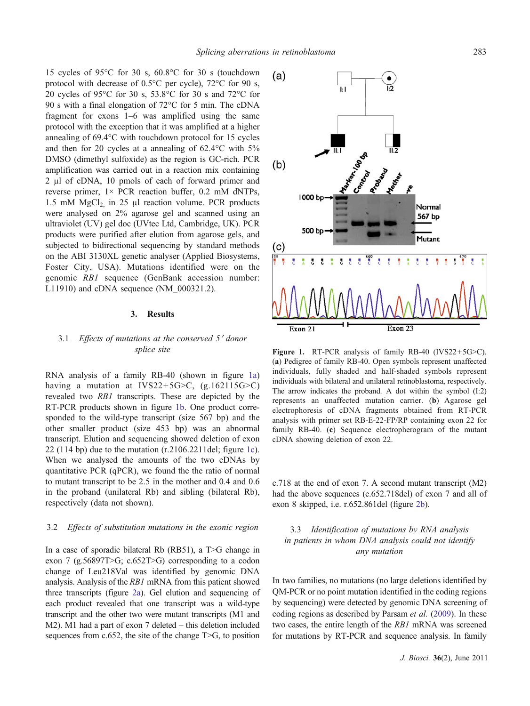<span id="page-2-0"></span>15 cycles of 95°C for 30 s, 60.8°C for 30 s (touchdown protocol with decrease of 0.5°C per cycle), 72°C for 90 s, 20 cycles of 95°C for 30 s, 53.8°C for 30 s and 72°C for 90 s with a final elongation of 72°C for 5 min. The cDNA fragment for exons 1–6 was amplified using the same protocol with the exception that it was amplified at a higher annealing of 69.4°C with touchdown protocol for 15 cycles and then for 20 cycles at a annealing of 62.4°C with 5% DMSO (dimethyl sulfoxide) as the region is GC-rich. PCR amplification was carried out in a reaction mix containing 2 μl of cDNA, 10 pmols of each of forward primer and reverse primer,  $1 \times PCR$  reaction buffer, 0.2 mM dNTPs, 1.5 mM  $MgCl<sub>2</sub>$  in 25 µl reaction volume. PCR products were analysed on 2% agarose gel and scanned using an ultraviolet (UV) gel doc (UVtec Ltd, Cambridge, UK). PCR products were purified after elution from agarose gels, and subjected to bidirectional sequencing by standard methods on the ABI 3130XL genetic analyser (Applied Biosystems, Foster City, USA). Mutations identified were on the genomic RB1 sequence (GenBank accession number: L11910) and cDNA sequence (NM\_000321.2).

#### 3. Results

# 3.1 Effects of mutations at the conserved 5' donor splice site

RNA analysis of a family RB-40 (shown in figure 1a) having a mutation at IVS22+5G>C,  $(g.162115G > C)$ revealed two RB1 transcripts. These are depicted by the RT-PCR products shown in figure 1b. One product corresponded to the wild-type transcript (size 567 bp) and the other smaller product (size 453 bp) was an abnormal transcript. Elution and sequencing showed deletion of exon 22 (114 bp) due to the mutation (r.2106.2211del; figure 1c). When we analysed the amounts of the two cDNAs by quantitative PCR (qPCR), we found the the ratio of normal to mutant transcript to be 2.5 in the mother and 0.4 and 0.6 in the proband (unilateral Rb) and sibling (bilateral Rb), respectively (data not shown).

## 3.2 Effects of substitution mutations in the exonic region

In a case of sporadic bilateral Rb (RB51), a T>G change in exon 7 (g.56897T>G; c.652T>G) corresponding to a codon change of Leu218Val was identified by genomic DNA analysis. Analysis of the RB1 mRNA from this patient showed three transcripts (figure [2a](#page-3-0)). Gel elution and sequencing of each product revealed that one transcript was a wild-type transcript and the other two were mutant transcripts (M1 and M2). M1 had a part of exon 7 deleted – this deletion included sequences from c.652, the site of the change T>G, to position



Figure 1. RT-PCR analysis of family RB-40 (IVS22+5G>C). (a) Pedigree of family RB-40. Open symbols represent unaffected individuals, fully shaded and half-shaded symbols represent individuals with bilateral and unilateral retinoblastoma, respectively. The arrow indicates the proband. A dot within the symbol (I:2) represents an unaffected mutation carrier. (b) Agarose gel electrophoresis of cDNA fragments obtained from RT-PCR analysis with primer set RB-E-22-FP/RP containing exon 22 for family RB-40. (c) Sequence electropherogram of the mutant cDNA showing deletion of exon 22.

c.718 at the end of exon 7. A second mutant transcript (M2) had the above sequences (c.652.718del) of exon 7 and all of exon 8 skipped, i.e. r.652.861del (figure [2b](#page-3-0)).

3.3 Identification of mutations by RNA analysis in patients in whom DNA analysis could not identify any mutation

In two families, no mutations (no large deletions identified by QM-PCR or no point mutation identified in the coding regions by sequencing) were detected by genomic DNA screening of coding regions as described by Parsam et al. [\(2009](#page-6-0)). In these two cases, the entire length of the RB1 mRNA was screened for mutations by RT-PCR and sequence analysis. In family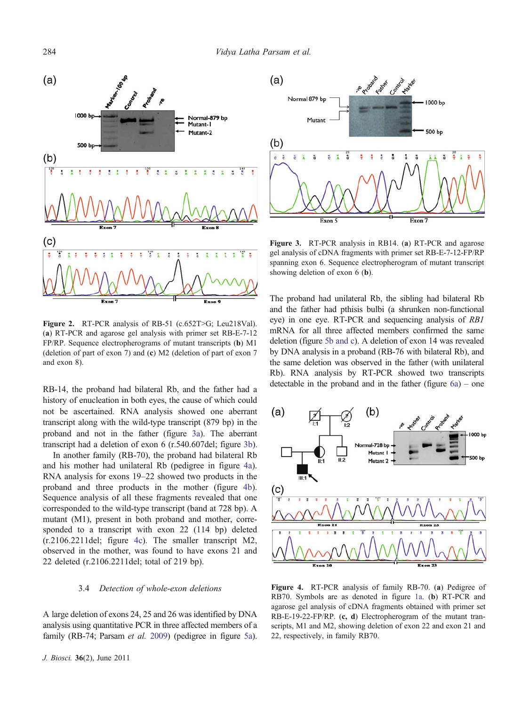<span id="page-3-0"></span>

Figure 2. RT-PCR analysis of RB-51 (c.652T>G; Leu218Val). (a) RT-PCR and agarose gel analysis with primer set RB-E-7-12 FP/RP. Sequence electropherograms of mutant transcripts (b) M1 (deletion of part of exon 7) and (c) M2 (deletion of part of exon 7 and exon 8).

RB-14, the proband had bilateral Rb, and the father had a history of enucleation in both eyes, the cause of which could not be ascertained. RNA analysis showed one aberrant transcript along with the wild-type transcript (879 bp) in the proband and not in the father (figure 3a). The aberrant transcript had a deletion of exon 6 (r.540.607del; figure 3b).

In another family (RB-70), the proband had bilateral Rb and his mother had unilateral Rb (pedigree in figure 4a). RNA analysis for exons 19–22 showed two products in the proband and three products in the mother (figure 4b). Sequence analysis of all these fragments revealed that one corresponded to the wild-type transcript (band at 728 bp). A mutant (M1), present in both proband and mother, corresponded to a transcript with exon 22 (114 bp) deleted (r.2106.2211del; figure 4c). The smaller transcript M2, observed in the mother, was found to have exons 21 and 22 deleted (r.2106.2211del; total of 219 bp).

#### 3.4 Detection of whole-exon deletions

A large deletion of exons 24, 25 and 26 was identified by DNA analysis using quantitative PCR in three affected members of a family (RB-74; Parsam et al. [2009](#page-6-0)) (pedigree in figure [5a\)](#page-4-0).



Figure 3. RT-PCR analysis in RB14. (a) RT-PCR and agarose gel analysis of cDNA fragments with primer set RB-E-7-12-FP/RP spanning exon 6. Sequence electropherogram of mutant transcript showing deletion of exon 6 (b).

The proband had unilateral Rb, the sibling had bilateral Rb and the father had pthisis bulbi (a shrunken non-functional eye) in one eye. RT-PCR and sequencing analysis of RB1 mRNA for all three affected members confirmed the same deletion (figure [5b and c](#page-4-0)). A deletion of exon 14 was revealed by DNA analysis in a proband (RB-76 with bilateral Rb), and the same deletion was observed in the father (with unilateral Rb). RNA analysis by RT-PCR showed two transcripts detectable in the proband and in the father (figure  $6a$ ) – one



Figure 4. RT-PCR analysis of family RB-70. (a) Pedigree of RB70. Symbols are as denoted in figure [1a.](#page-2-0) (b) RT-PCR and agarose gel analysis of cDNA fragments obtained with primer set RB-E-19-22-FP/RP. (c, d) Electropherogram of the mutant transcripts, M1 and M2, showing deletion of exon 22 and exon 21 and 22, respectively, in family RB70.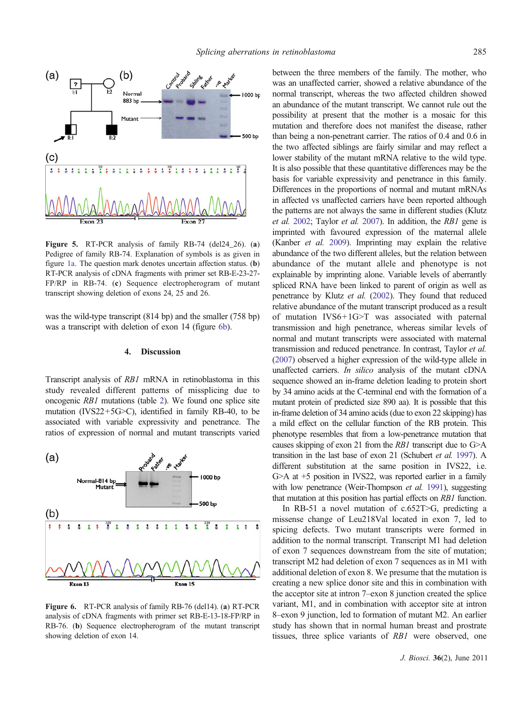<span id="page-4-0"></span>

Figure 5. RT-PCR analysis of family RB-74 (del24\_26). (a) Pedigree of family RB-74. Explanation of symbols is as given in figure [1a.](#page-2-0) The question mark denotes uncertain affection status. (b) RT-PCR analysis of cDNA fragments with primer set RB-E-23-27- FP/RP in RB-74. (c) Sequence electropherogram of mutant transcript showing deletion of exons 24, 25 and 26.

was the wild-type transcript (814 bp) and the smaller (758 bp) was a transcript with deletion of exon 14 (figure 6b).

### 4. Discussion

Transcript analysis of RB1 mRNA in retinoblastoma in this study revealed different patterns of missplicing due to oncogenic RB1 mutations (table [2](#page-5-0)). We found one splice site mutation (IVS22+5G $\geq$ C), identified in family RB-40, to be associated with variable expressivity and penetrance. The ratios of expression of normal and mutant transcripts varied



Figure 6. RT-PCR analysis of family RB-76 (del14). (a) RT-PCR analysis of cDNA fragments with primer set RB-E-13-18-FP/RP in RB-76. (b) Sequence electropherogram of the mutant transcript showing deletion of exon 14.

between the three members of the family. The mother, who was an unaffected carrier, showed a relative abundance of the normal transcript, whereas the two affected children showed an abundance of the mutant transcript. We cannot rule out the possibility at present that the mother is a mosaic for this mutation and therefore does not manifest the disease, rather than being a non-penetrant carrier. The ratios of 0.4 and 0.6 in the two affected siblings are fairly similar and may reflect a lower stability of the mutant mRNA relative to the wild type. It is also possible that these quantitative differences may be the basis for variable expressivity and penetrance in this family. Differences in the proportions of normal and mutant mRNAs in affected vs unaffected carriers have been reported although the patterns are not always the same in different studies (Klutz et al. [2002;](#page-6-0) Taylor et al. [2007\)](#page-6-0). In addition, the RB1 gene is imprinted with favoured expression of the maternal allele (Kanber et al. [2009](#page-6-0)). Imprinting may explain the relative abundance of the two different alleles, but the relation between abundance of the mutant allele and phenotype is not explainable by imprinting alone. Variable levels of aberrantly spliced RNA have been linked to parent of origin as well as penetrance by Klutz et al. [\(2002](#page-6-0)). They found that reduced relative abundance of the mutant transcript produced as a result of mutation IVS6+1G>T was associated with paternal transmission and high penetrance, whereas similar levels of normal and mutant transcripts were associated with maternal transmission and reduced penetrance. In contrast, Taylor et al. [\(2007](#page-6-0)) observed a higher expression of the wild-type allele in unaffected carriers. In silico analysis of the mutant cDNA sequence showed an in-frame deletion leading to protein short by 34 amino acids at the C-terminal end with the formation of a mutant protein of predicted size 890 aa). It is possible that this in-frame deletion of 34 amino acids (due to exon 22 skipping) has a mild effect on the cellular function of the RB protein. This phenotype resembles that from a low-penetrance mutation that causes skipping of exon 21 from the RB1 transcript due to G>A transition in the last base of exon 21 (Schubert et al. [1997](#page-6-0)). A different substitution at the same position in IVS22, i.e. G>A at +5 position in IVS22, was reported earlier in a family with low penetrance (Weir-Thompson *et al.* [1991](#page-6-0)), suggesting that mutation at this position has partial effects on RB1 function.

In RB-51 a novel mutation of c.652T>G, predicting a missense change of Leu218Val located in exon 7, led to spicing defects. Two mutant transcripts were formed in addition to the normal transcript. Transcript M1 had deletion of exon 7 sequences downstream from the site of mutation; transcript M2 had deletion of exon 7 sequences as in M1 with additional deletion of exon 8. We presume that the mutation is creating a new splice donor site and this in combination with the acceptor site at intron 7–exon 8 junction created the splice variant, M1, and in combination with acceptor site at intron 8–exon 9 junction, led to formation of mutant M2. An earlier study has shown that in normal human breast and prostrate tissues, three splice variants of RB1 were observed, one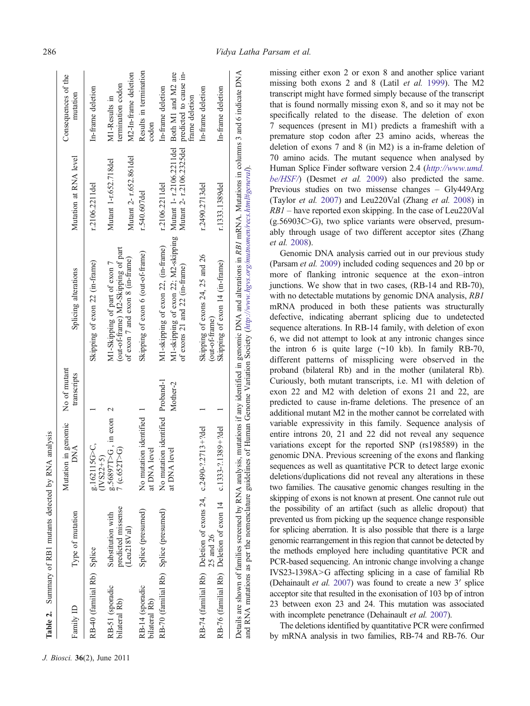<span id="page-5-0"></span>

| Family ID                             | Type of mutation                                                        | Mutation in genomic<br>$\overline{M}$ A | No of mutant<br>transcripts | Splicing alterations                                                                                                                                                                                                                                                                                                       | Mutation at RNA level                                                  | Consequences of the<br>mutation     |
|---------------------------------------|-------------------------------------------------------------------------|-----------------------------------------|-----------------------------|----------------------------------------------------------------------------------------------------------------------------------------------------------------------------------------------------------------------------------------------------------------------------------------------------------------------------|------------------------------------------------------------------------|-------------------------------------|
| RB-40 (familial Rb) Splice            |                                                                         | g.162115G>C,<br>$(IVS22+5)$             |                             | Skipping of exon 22 (in-frame)                                                                                                                                                                                                                                                                                             | r.2106.2211del                                                         | In-frame deletion                   |
| RB-51 (sporadic<br>bilateral Rb)      | predicted missense<br>Substitution with                                 | g.56897T>G, in exon 2<br>7 (c.652T > G) |                             | (out-of-frame) M2-Skipping of part<br>M1-Skipping of part of exon 7                                                                                                                                                                                                                                                        | Mutant 1-r.652.718del                                                  | termination codon<br>M1-Results in  |
|                                       | (Leu218Val)                                                             |                                         |                             | of exon 7 and exon 8 (in-frame)                                                                                                                                                                                                                                                                                            | Mutant 2- r.652.861del                                                 | M2-In-frame deletion                |
| RB-14 (sporadic<br>bilateral Rb)      | Splice (presumed)                                                       | No mutation identified<br>at DNA level  |                             | Skipping of exon 6 (out-of-frame)                                                                                                                                                                                                                                                                                          | r.540.607del                                                           | Results in termination<br>codom     |
| RB-70 (familial Rb) Splice (presumed) |                                                                         | No mutation identified Proband-1        |                             | M1-skipping of exon 22, (in-frame)                                                                                                                                                                                                                                                                                         | r.2106.2211del                                                         | In-frame deletion                   |
|                                       |                                                                         | at DNA level                            | Mother-2                    | M1-skipping of exon 22; M2-skipping<br>of exons $21$ and $22$ (in-frame)                                                                                                                                                                                                                                                   | Mutant 1- r.2106.2211del Both M1 and M2 are<br>Mutant 2-r.2106.2325del | predicted to cause in-              |
|                                       | RB-74 (familial Rb) Deletion of exons $24$ , c.2490-?.2713+?del         |                                         |                             | Skipping of exons 24, 25 and 26                                                                                                                                                                                                                                                                                            | r.2490.2713del                                                         | In-frame deletion<br>frame deletion |
|                                       | RB-76 (familial Rb) Deletion of exon 14 c.1333-?.1389+?del<br>25 and 26 |                                         |                             | Skipping of exon 14 (in-frame)<br>(out-of-frame)                                                                                                                                                                                                                                                                           | r.1333.1389del                                                         | In-frame deletion                   |
|                                       |                                                                         |                                         |                             | Details are shown of families screened by RNA analysis, mutations if any identified in genomic DNA and alterations in RB1 mRNA. Mutations in columns 3 and 6 indicate DNA<br>and RNA mutations as per the nomenclature guidelines of Human Genome Variation Society ( $http://www.hgv.s.org/mutnomen/recs.html$ #general). |                                                                        |                                     |

missing either exon 2 or exon 8 and another splice variant missing both exons 2 and 8 (Latil et al. [1999\)](#page-6-0). The M2 transcript might have formed simply because of the transcript that is found normally missing exon 8, and so it may not be specifically related to the disease. The deletion of exon 7 sequences (present in M1) predicts a frameshift with a premature stop codon after 23 amino acids, whereas the deletion of exons 7 and 8 (in M2) is a in-frame deletion of 70 amino acids. The mutant sequence when analysed by Human Splice Finder software version 2.4 ([http://www.umd.](http://www.umd.be/HSF/) be/HSF/) (Desmet et al. [2009\) also predicted the same.](http://www.umd.be/HSF/) [Previous studies on two missense changes](http://www.umd.be/HSF/) – Gly449Arg (Taylor et al. [2007\) and Leu220Val \(Zhang](http://www.umd.be/HSF/) et al. 2008) in RB1 – [have reported exon skipping. In the case of Leu220Val](http://www.umd.be/HSF/)  $(g.56903C>G)$ , two splice variants were observed, presum[ably through usage of two different acceptor sites \(Zhang](http://www.umd.be/HSF/) et al. [2008\).](http://www.umd.be/HSF/)

Genomic DNA analysis carried out in our previous study (Parsam et al. [2009\)](#page-6-0) included coding sequences and 20 bp or more of flanking intronic sequence at the exon–intron junctions. We show that in two cases, (RB-14 and RB-70), with no detectable mutations by genomic DNA analysis, RB1 mRNA produced in both these patients was structurally defective, indicating aberrant splicing due to undetected sequence alterations. In RB-14 family, with deletion of exon 6, we did not attempt to look at any intronic changes since the intron 6 is quite large  $(\sim 10 \text{ kb})$ . In family RB-70, different patterns of missplicing were observed in the proband (bilateral Rb) and in the mother (unilateral Rb). Curiously, both mutant transcripts, i.e. M1 with deletion of exon 22 and M2 with deletion of exons 21 and 22, are predicted to cause in-frame deletions. The presence of an additional mutant M2 in the mother cannot be correlated with variable expressivity in this family. Sequence analysis of entire introns 20, 21 and 22 did not reveal any sequence variations except for the reported SNP (rs198589) in the genomic DNA. Previous screening of the exons and flanking sequences as well as quantitative PCR to detect large exonic deletions/duplications did not reveal any alterations in these two families. The causative genomic changes resulting in the skipping of exons is not known at present. One cannot rule out the possibility of an artifact (such as allelic dropout) that prevented us from picking up the sequence change responsible for splicing aberration. It is also possible that there is a large genomic rearrangement in this region that cannot be detected by the methods employed here including quantitative PCR and PCR-based sequencing. An intronic change involving a change IVS23-1398A>G affecting splicing in a case of familial Rb (Dehainault et al. [2007](#page-6-0)) was found to create a new 3′ splice acceptor site that resulted in the exonisation of 103 bp of intron 23 between exon 23 and 24. This mutation was associated with incomplete penetrance (Dehainault et al. [2007\)](#page-6-0).

The deletions identified by quantitative PCR were confirmed by mRNA analysis in two families, RB-74 and RB-76. Our